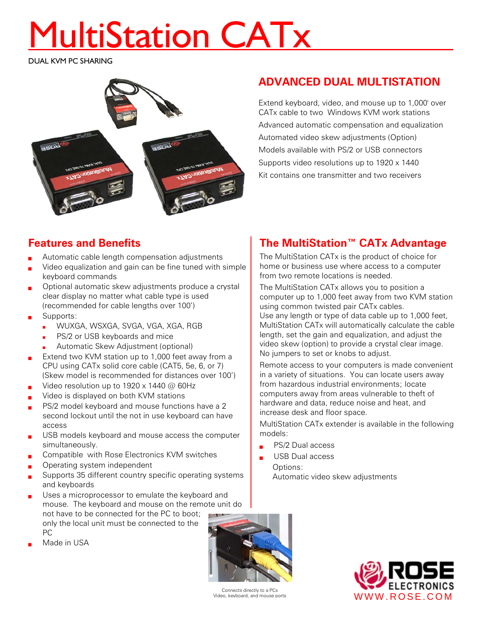# MultiStation CATx

DUAL KVM PC SHARING



# **ADVANCED DUAL MULTISTATION**

Extend keyboard, video, and mouse up to 1,000' over CATx cable to two Windows KVM work stations Advanced automatic compensation and equalization Automated video skew adjustments (Option) Models available with PS/2 or USB connectors Supports video resolutions up to 1920 x 1440 Kit contains one transmitter and two receivers

## **Features and Benefits**

- Automatic cable length compensation adjustments
- Video equalization and gain can be fine tuned with simple keyboard commands
- Optional automatic skew adjustments produce a crystal clear display no matter what cable type is used (recommended for cable lengths over 100')
- Supports:
	- WUXGA, WSXGA, SVGA, VGA, XGA, RGB
	- PS/2 or USB keyboards and mice
	- Automatic Skew Adjustment (optional)
- Extend two KVM station up to 1,000 feet away from a CPU using CATx solid core cable (CAT5, 5e, 6, or 7) (Skew model is recommended for distances over 100')
- Video resolution up to 1920 x 1440 @ 60Hz
- Video is displayed on both KVM stations
- PS/2 model keyboard and mouse functions have a 2 second lockout until the not in use keyboard can have access
- USB models keyboard and mouse access the computer simultaneously.
- Compatible with Rose Electronics KVM switches
- Operating system independent
- Supports 35 different country specific operating systems and keyboards
- Uses a microprocessor to emulate the keyboard and mouse. The keyboard and mouse on the remote unit do not have to be connected for the PC to boot; only the local unit must be connected to the PC
- Made in USA



The MultiStation CATx is the product of choice for home or business use where access to a computer from two remote locations is needed.

The MultiStation CATx allows you to position a computer up to 1,000 feet away from two KVM station using common twisted pair CATx cables. Use any length or type of data cable up to 1,000 feet,

MultiStation CATx will automatically calculate the cable length, set the gain and equalization, and adjust the video skew (option) to provide a crystal clear image. No jumpers to set or knobs to adjust.

Remote access to your computers is made convenient in a variety of situations. You can locate users away from hazardous industrial environments; locate computers away from areas vulnerable to theft of hardware and data, reduce noise and heat, and increase desk and floor space.

MultiStation CATx extender is available in the following models:

- PS/2 Dual access
	- USB Dual access Options: Automatic video skew adjustments



Connects directly to a PCs Video, keyboard, and mouse ports